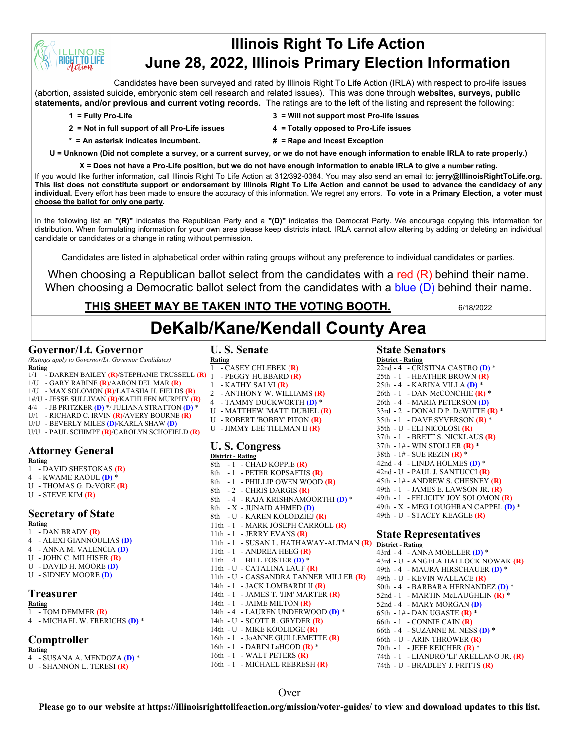# **Illinois Right To Life Action June 28, 2022, Illinois Primary Election Information**

Candidates have been surveyed and rated by Illinois Right To Life Action (IRLA) with respect to pro-life issues (abortion, assisted suicide, embryonic stem cell research and related issues). This was done through **websites, surveys, public statements, and/or previous and current voting records.** The ratings are to the left of the listing and represent the following:

**INOIS TO LIFE** 

- **2 = Not in full support of all Pro-Life issues 4 = Totally opposed to Pro-Life issues**
- **1 = Fully Pro-Life 3 = Will not support most Pro-life issues**
	-
- 
- **\* = An asterisk indicates incumbent. # = Rape and Incest Exception**
	-

**U = Unknown (Did not complete a survey, or a current survey, or we do not have enough information to enable IRLA to rate properly.)**

**X = Does not have a Pro-Life position, but we do not have enough information to enable IRLA to give a number rating.**  If you would like further information, call Illinois Right To Life Action at 312/392-0384. You may also send an email to: **jerry@IllinoisRightToLife.org. This list does not constitute support or endorsement by Illinois Right To Life Action and cannot be used to advance the candidacy of any individual.** Every effort has been made to ensure the accuracy of this information. We regret any errors. **To vote in a Primary Election, a voter must choose the ballot for only one party.**

In the following list an **"(R)"** indicates the Republican Party and a **"(D)"** indicates the Democrat Party. We encourage copying this information for distribution. When formulating information for your own area please keep districts intact. IRLA cannot allow altering by adding or deleting an individual candidate or candidates or a change in rating without permission.

Candidates are listed in alphabetical order within rating groups without any preference to individual candidates or parties.

When choosing a Republican ballot select from the candidates with a red (R) behind their name. When choosing a Democratic ballot select from the candidates with a blue (D) behind their name.

# **THIS SHEET MAY BE TAKEN INTO THE VOTING BOOTH.** 6/18/2022

# **DeKalb/Kane/Kendall County Area**

# **Governor/Lt. Governor**

*(Ratings apply to Governor/Lt. Governor Candidates)* **Rating**

- 1/1 DARREN BAILEY **(R)**/STEPHANIE TRUSSELL **(R)**
- 1/U GARY RABINE **(R)**/AARON DEL MAR **(R)** 1 PEGGY HUBBARD **(R)**
- 1/U MAX SOLOMON **(R)**/LATASHA H. FIELDS **(R)**
- 1#/U JESSE SULLIVAN **(R)**/KATHLEEN MURPHY **(R)**
- 4/4 JB PRITZKER **(D)** \*/ JULIANA STRATTON **(D)** \*
- U/1 RICHARD C. IRVIN **(R)**/AVERY BOURNE **(R)**
- U/U BEVERLY MILES **(D)**/KARLA SHAW **(D)**
- U/U PAUL SCHIMPF **(R)**/CAROLYN SCHOFIELD **(R)**

# **Attorney General**

- **Rating**
- 1 DAVID SHESTOKAS **(R)**
- 4 KWAME RAOUL **(D)** \*
- U THOMAS G. DeVORE **(R)**
- U STEVE KIM **(R)**

#### **Secretary of State Rating**

- 1 DAN BRADY **(R)**
- 4 ALEXI GIANNOULIAS **(D)**
- 4 ANNA M. VALENCIA **(D)**
- U JOHN C. MILHISER **(R)**
- U DAVID H. MOORE **(D)**
- U SIDNEY MOORE **(D)**

# **Treasurer**

- **Rating** 1 - TOM DEMMER **(R)**
- 4 MICHAEL W. FRERICHS **(D)** \*

# **Comptroller**

- **Rating** 4 - SUSANA A. MENDOZA **(D)** \*
- U SHANNON L. TERESI **(R)**

# **U. S. Senate**

- **Rating** 1 - CASEY CHLEBEK **(R)**
- 
- 1 KATHY SALVI **(R)**
- 2 ANTHONY W. WILLIAMS **(R)**
- 4 TAMMY DUCKWORTH **(D)** \*
- U MATTHEW 'MATT' DUBIEL **(R)**
- U ROBERT 'BOBBY' PITON **(R)**
- U JIMMY LEE TILLMAN II **(R)**
- 

#### **U. S. Congress District - Rating**

- $8th$  1 CHAD KOPPIE (R) 8th - 1 - PETER KOPSAFTIS **(R)** 8th - 1 - PHILLIP OWEN WOOD **(R)** 8th - 2 - CHRIS DARGIS **(R)** 8th - 4 - RAJA KRISHNAMOORTHI **(D)** \* 8th - X - JUNAID AHMED **(D)** 8th - U - KAREN KOLODZIEJ **(R)** 11th - 1 - MARK JOSEPH CARROLL **(R)** 11th - 1 - JERRY EVANS **(R)** 11th - 1 - SUSAN L. HATHAWAY-ALTMAN **(R)** 11th - 1 - ANDREA HEEG **(R)** 11th - 4 - BILL FOSTER **(D)** \* 11th - U - CATALINA LAUF **(R)** 11th - U - CASSANDRA TANNER MILLER **(R)** 14th - 1 - JACK LOMBARDI II **(R)** 14th - 1 - JAMES T. 'JIM' MARTER **(R)** 14th - 1 - JAIME MILTON **(R)** 14th - 4 - LAUREN UNDERWOOD **(D)** \* 14th - U - SCOTT R. GRYDER **(R)** 14th - U - MIKE KOOLIDGE **(R)** 16th - 1 - JoANNE GUILLEMETTE **(R)** 16th - 1 - DARIN LaHOOD **(R)** \*
- 
- 16th 1 WALT PETERS **(R)**
- 16th 1 MICHAEL REBRESH **(R)**

# **State Senators**

#### **District - Rating**

22nd - 4 - CRISTINA CASTRO (D)<sup>\*</sup> 25th - 1 - HEATHER BROWN **(R)** 25th - 4 - KARINA VILLA **(D)** \* 26th - 1 - DAN McCONCHIE **(R)** \* 26th - 4 - MARIA PETERSON **(D)** 33rd - 2 - DONALD P. DeWITTE **(R)** \* 35th - 1 - DAVE SYVERSON **(R)** \* 35th - U - ELI NICOLOSI **(R)** 37th - 1 - BRETT S. NICKLAUS **(R)** 37th - 1# - WIN STOLLER **(R)** \* 38th - 1# - SUE REZIN **(R)** \* 42nd - 4 - LINDA HOLMES **(D)** \* 42nd - U - PAUL J. SANTUCCI **(R)** 45th - 1# - ANDREW S. CHESNEY **(R)** 49th - 1 - JAMES E. LAWSON JR. **(R)** 49th - 1 - FELICITY JOY SOLOMON **(R)** 49th - X - MEG LOUGHRAN CAPPEL **(D)** \* 49th - U - STACEY KEAGLE **(R)**

#### **State Representatives District - Rating**

43rd - 4 - ANNA MOELLER **(D)** \* 43rd - U - ANGELA HALLOCK NOWAK **(R)** 49th - 4 - MAURA HIRSCHAUER **(D)** \* 49th - U - KEVIN WALLACE **(R)** 50th - 4 - BARBARA HERNANDEZ **(D)** \* 52nd - 1 - MARTIN McLAUGHLIN **(R)** \* 52nd - 4 - MARY MORGAN **(D)** 65th - 1# - DAN UGASTE **(R)** \* 66th - 1 - CONNIE CAIN **(R)** 66th - 4 - SUZANNE M. NESS **(D)** \* 66th - U - ARIN THROWER **(R)** 70th - 1 - JEFF KEICHER **(R)** \* 74th - 1 - LIANDRO 'LI' ARELLANO JR. **(R)** 74th - U - BRADLEY J. FRITTS **(R)**

### Over

**Please go to our website at https://illinoisrighttolifeaction.org/mission/voter-guides/ to view and download updates to this list.**